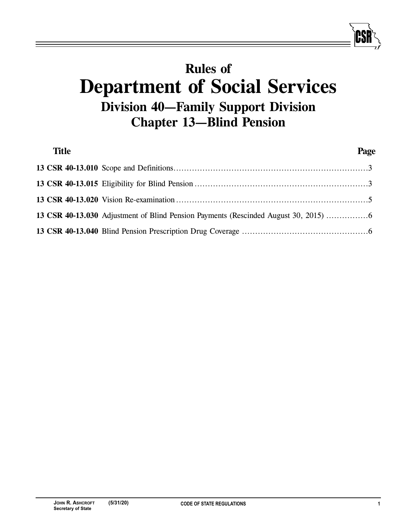# **Rules of Department of Social Services Division 40—Family Support Division Chapter 13—Blind Pension**

| <b>Title</b> |                                                                                   | Page |
|--------------|-----------------------------------------------------------------------------------|------|
|              |                                                                                   |      |
|              |                                                                                   |      |
|              |                                                                                   |      |
|              | 13 CSR 40-13.030 Adjustment of Blind Pension Payments (Rescinded August 30, 2015) |      |
|              |                                                                                   |      |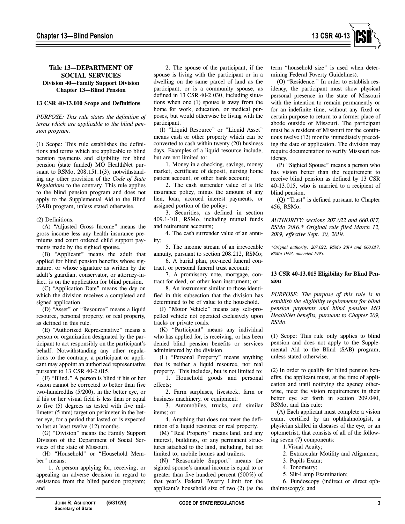

# **Title 13—DEPARTMENT OF SOCIAL SERVICES Division 40—Family Support Division Chapter 13—Blind Pension**

#### **13 CSR 40-13.010 Scope and Definitions**

*PURPOSE: This rule states the definition of terms which are applicable to the blind pension program.* 

(1) Scope: This rule establishes the definitions and terms which are applicable to blind pension payments and eligibility for blind pension (state funded) MO HealthNet pursuant to RSMo, 208.151.1(3), notwithstanding any other provision of the *Code of State Regulations* to the contrary. This rule applies to the blind pension program and does not apply to the Supplemental Aid to the Blind (SAB) program, unless stated otherwise.

### (2) Definitions.

(A) "Adjusted Gross Income" means the gross income less any health insurance premiums and court ordered child support payments made by the sighted spouse.

(B) "Applicant" means the adult that applied for blind pension benefits whose signature, or whose signature as written by the adult's guardian, conservator, or attorney-infact, is on the application for blind pension.

(C) "Application Date" means the day on which the division receives a completed and signed application.

(D) "Asset" or "Resource" means a liquid resource, personal property, or real property, as defined in this rule.

(E) "Authorized Representative" means a person or organization designated by the participant to act responsibly on the participant's behalf. Notwithstanding any other regulations to the contrary, a participant or applicant may appoint an authorized representative pursuant to 13 CSR 40-2.015.

(F) "Blind." A person is blind if his or her vision cannot be corrected to better than five two-hundredths (5/200), in the better eye, or if his or her visual field is less than or equal to five (5) degrees as tested with five millimeter (5 mm) target on perimeter in the better eye, for a period that lasted or is expected to last at least twelve (12) months.

(G) "Division" means the Family Support Division of the Department of Social Services of the state of Missouri.

(H) "Household" or "Household Member" means:

1. A person applying for, receiving, or appealing an adverse decision in regard to assistance from the blind pension program; and

2. The spouse of the participant, if the spouse is living with the participant or in a dwelling on the same parcel of land as the participant, or is a community spouse, as defined in 13 CSR 40-2.030, including situations when one (1) spouse is away from the home for work, education, or medical purposes, but would otherwise be living with the participant.

(I) "Liquid Resource" or "Liquid Asset" means cash or other property which can be converted to cash within twenty (20) business days. Examples of a liquid resource include, but are not limited to:

1. Money in a checking, savings, money market, certificate of deposit, nursing home patient account, or other bank account;

2. The cash surrender value of a life insurance policy, minus the amount of any lien, loan, accrued interest payments, or assigned portion of the policy;

3. Securities, as defined in section 409.1-101, RSMo, including mutual funds and retirement accounts;

4. The cash surrender value of an annuity;

5. The income stream of an irrevocable annuity, pursuant to section 208.212, RSMo;

6. A burial plan, pre-need funeral contract, or personal funeral trust account;

7. A promissory note, mortgage, contract for deed, or other loan instrument; or

8. An instrument similar to those identified in this subsection that the division has determined to be of value to the household.

(J) "Motor Vehicle" means any self-propelled vehicle not operated exclusively upon tracks or private roads.

(K) "Participant" means any individual who has applied for, is receiving, or has been denied blind pension benefits or services administered by the division.

(L) "Personal Property" means anything that is neither a liquid resource, nor real property. This includes, but is not limited to:

1. Household goods and personal effects;

2. Farm surpluses, livestock, farm or business machinery, or equipment;

3. Automobiles, trucks, and similar items; or

4. Anything that does not meet the definition of a liquid resource or real property.

(M) "Real Property" means land, and any interest, buildings, or any permanent structures attached to the land, including, but not limited to, mobile homes and trailers.

(N) "Reasonable Support" means the sighted spouse's annual income is equal to or greater than five hundred percent (500%) of that year's Federal Poverty Limit for the applicant's household size of two (2) (as the

term "household size" is used when determining Federal Poverty Guidelines).

(O) "Residence." In order to establish residency, the participant must show physical personal presence in the state of Missouri with the intention to remain permanently or for an indefinite time, without any fixed or certain purpose to return to a former place of abode outside of Missouri. The participant must be a resident of Missouri for the continuous twelve (12) months immediately preceding the date of application. The division may require documentation to verify Missouri residency.

(P) "Sighted Spouse" means a person who has vision better than the requirement to receive blind pension as defined by 13 CSR 40-13.015, who is married to a recipient of blind pension.

(Q) "Trust" is defined pursuant to Chapter 456, RSMo.

*AUTHORITY: sections 207.022 and 660.017, RSMo 2016.\* Original rule filed March 12, 2019, effective Sept. 30, 2019.* 

*\*Orignal authority: 207.022, RSMo 2014 and 660.017, RSMo 1993, amended 1995.*

### **13 CSR 40-13.015 Eligibility for Blind Pension**

*PURPOSE: The purpose of this rule is to establish the eligibility requirements for blind pension payments and blind pension MO HealthNet benefits, pursuant to Chapter 209, RSMo.* 

(1) Scope: This rule only applies to blind pension and does not apply to the Supplemental Aid to the Blind (SAB) program, unless stated otherwise.

(2) In order to qualify for blind pension benefits, the applicant must, at the time of application and until notifying the agency otherwise, meet the vision requirements in their better eye set forth in section 209.040, RSMo, and this rule:

(A) Each applicant must complete a vision exam, certified by an ophthalmologist, a physician skilled in diseases of the eye, or an optometrist, that consists of all of the following seven (7) components:

1.Visual Acuity;

- 2. Extraocular Motility and Alignment;
- 3. Pupils Exam;
- 4. Tonometry;
- 5. Slit-Lamp Examination;

6. Fundoscopy (indirect or direct ophthalmoscopy); and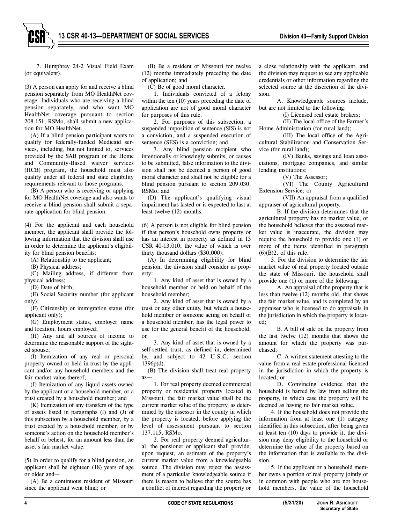7. Humphrey 24-2 Visual Field Exam (or equivalent).

(3) A person can apply for and receive a blind pension separately from MO HealthNet coverage. Individuals who are receiving a blind pension separately, and who want MO HealthNet coverage pursuant to section 208.151, RSMo, shall submit a new application for MO HealthNet.

(A) If a blind pension participant wants to qualify for federally-funded Medicaid services, including, but not limited to, services provided by the SAB program or the Home and Community-Based waiver services (HCB) program, the household must also qualify under all federal and state eligibility requirements relevant to those programs.

(B) A person who is receiving or applying for MO HealthNet coverage and also wants to receive a blind pension shall submit a separate application for blind pension.

(4) For the applicant and each household member, the applicant shall provide the following information that the division shall use in order to determine the applicant's eligibility for blind pension benefits:

(A) Relationship to the applicant;

(B) Physical address;

(C) Mailing address, if different from physical address;

(D) Date of birth;

(E) Social Security number (for applicant only);

(F) Citizenship or immigration status (for applicant only);

(G) Employment status, employer name and location, hours employed;

(H) Any and all sources of income to determine the reasonable support of the sighted spouse;

(I) Itemization of any real or personal property owned or held in trust by the applicant and/or any household members and the fair market value thereof;

(J) Itemization of any liquid assets owned by the applicant or a household member, or a trust created by a household member; and

(K) Itemization of any transfers of the type of assets listed in paragraphs (I) and (J) of this subsection by a household member, by a trust created by a household member, or by someone's action on the household member's behalf or behest, for an amount less than the asset's fair market value.

(5) In order to qualify for a blind pension, an applicant shall be eighteen (18) years of age or older and—

(A) Be a continuous resident of Missouri since the applicant went blind; or

(B) Be a resident of Missouri for twelve (12) months immediately preceding the date of application; and

(C) Be of good moral character.

1. Individuals convicted of a felony within the ten (10) years preceding the date of application are not of good moral character for purposes of this rule.

2. For purposes of this subsection, a suspended imposition of sentence (SIS) is not a conviction, and a suspended execution of sentence (SES) is a conviction; and

3. Any blind pension recipient who intentionally or knowingly submits, or causes to be submitted, false information to the division shall not be deemed a person of good moral character and shall not be eligible for a blind pension pursuant to section 209.030, RSMo; and

(D) The applicant's qualifying visual impairment has lasted or is expected to last at least twelve (12) months.

(6) A person is not eligible for blind pension if that person's household owns property or has an interest in property as defined in 13 CSR 40-13.010, the value of which is over thirty thousand dollars (\$30,000).

(A) In determining eligibility for blind pension, the division shall consider as property:

1. Any kind of asset that is owned by a household member or held on behalf of the household member;

2. Any kind of asset that is owned by a trust or any other entity, but which a household member or someone acting on behalf of a household member, has the legal power to use for the general benefit of the household; or

3. Any kind of asset that is owned by a self-settled trust, as defined in, determined by, and subject to 42 U.S.C. section 1396p(d).

(B) The division shall treat real property as—

1. For real property deemed commercial property or residential property located in Missouri, the fair market value shall be the current market value of the property, as determined by the assessor in the county in which the property is located, before applying the level of assessment pursuant to section 137.115, RSMo.

2. For real property deemed agricultural, the pensioner or applicant shall provide, upon request, an estimate of the property's current market value from a knowledgeable source. The division may reject the assessment of a particular knowledgeable source if there is reason to believe that the source has a conflict of interest regarding the property or

a close relationship with the applicant, and the division may request to see any applicable credentials or other information regarding the selected source at the discretion of the division.

A. Knowledgeable sources include, but are not limited to the following:

(I) Licensed real estate brokers;

(II) The local office of the Farmer's Home Administration (for rural land);

(III) The local office of the Agricultural Stabilization and Conservation Service (for rural land);

(IV) Banks, savings and loan associations, mortgage companies, and similar lending institutions;

(V) The Assessor;

(VI) The County Agricultural Extension Service; or

(VII) An appraisal from a qualified appraiser of agricultural property.

B. If the division determines that the agricultural property has no market value, or the household believes that the assessed market value is inaccurate, the division may require the household to provide one (1) or more of the items identified in paragraph  $(6)(B)2$ . of this rule.

3. For the division to determine the fair market value of real property located outside the state of Missouri, the household shall provide one (1) or more of the following:

A. An appraisal of the property that is less than twelve (12) months old, that shows the fair market value, and is completed by an appraiser who is licensed to do appraisals in the jurisdiction in which the property is located;

B. A bill of sale on the property from the last twelve (12) months that shows the amount for which the property was purchased;

C. A written statement attesting to the value from a real estate professional licensed in the jurisdiction in which the property is located; or

D. Convincing evidence that the household is barred by law from selling the property, in which case the property will be deemed as having no fair market value.

4. If the household does not provide the information from at least one (1) category identified in this subsection, after being given at least ten (10) days to provide it, the division may deny eligibility to the household or determine the value of the property based on the information that is available to the division.

5. If the applicant or a household member owns a portion of real property jointly or in common with people who are not household members, the value of the household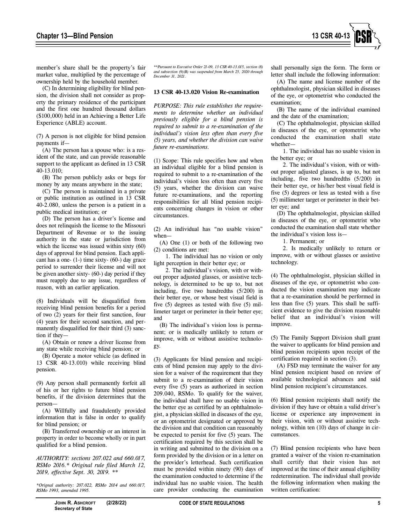

member's share shall be the property's fair market value, multiplied by the percentage of ownership held by the household member.

(C) In determining eligibility for blind pension, the division shall not consider as property the primary residence of the participant and the first one hundred thousand dollars (\$100,000) held in an Achieving a Better Life Experience (ABLE) account.

(7) A person is not eligible for blind pension payments if—

(A) The person has a spouse who: is a resident of the state, and can provide reasonable support to the applicant as defined in 13 CSR 40-13.010;

(B) The person publicly asks or begs for money by any means anywhere in the state;

(C) The person is maintained in a private or public institution as outlined in 13 CSR 40-2.080, unless the person is a patient in a public medical institution; or

(D) The person has a driver's license and does not relinquish the license to the Missouri Department of Revenue or to the issuing authority in the state or jurisdiction from which the license was issued within sixty (60) days of approval for blind pension. Each applicant has a one-  $(1-)$  time sixty-  $(60-)$  day grace period to surrender their license and will not be given another sixty- (60-) day period if they must reapply due to any issue, regardless of reason, with an earlier application.

(8) Individuals will be disqualified from receiving blind pension benefits for a period of two (2) years for their first sanction, four (4) years for their second sanction, and permanently disqualified for their third (3) sanction if they—

(A) Obtain or renew a driver license from any state while receiving blind pension; or

(B) Operate a motor vehicle (as defined in 13 CSR 40-13.010) while receiving blind pension.

(9) Any person shall permanently forfeit all of his or her rights to future blind pension benefits, if the division determines that the person—

(A) Willfully and fraudulently provided information that is false in order to qualify for blind pension; or

(B) Transferred ownership or an interest in property in order to become wholly or in part qualified for a blind pension.

*AUTHORITY: sections 207.022 and 660.017, RSMo 2016.\* Original rule filed March 12, 2019, effective Sept. 30, 2019. \*\** 

*\*Orignal authority: 207.022, RSMo 2014 and 660.017, RSMo 1993, amended 1995.* 

*\*\*Pursuant to Executive Order 21-09, 13 CSR 40-13.015, section (8) and subsection (9)(B) was suspended from March 25, 2020 through December 31, 2021.* 

#### **13 CSR 40-13.020 Vision Re-examination**

*PURPOSE: This rule establishes the requirements to determine whether an individual previously eligible for a blind pension is required to submit to a re-examination of the individual's vision less often than every five (5) years, and whether the division can waive future re-examinations.* 

(1) Scope: This rule specifies how and when an individual eligible for a blind pension is required to submit to a re-examination of the individual's vision less often than every five (5) years, whether the division can waive future re-examinations, and the reporting responsibilities for all blind pension recipients concerning changes in vision or other circumstances.

(2) An individual has "no usable vision" when—

(A) One (1) or both of the following two (2) conditions are met:

1. The individual has no vision or only light perception in their better eye; or

2. The individual's vision, with or without proper adjusted glasses, or assistive technology, is determined to be up to, but not including, five two hundredths (5/200) in their better eye, or whose best visual field is five (5) degrees as tested with five (5) millimeter target or perimeter in their better eye; and

(B) The individual's vision loss is permanent; or is medically unlikely to return or improve, with or without assistive technology.

(3) Applicants for blind pension and recipients of blind pension may apply to the division for a waiver of the requirement that they submit to a re-examination of their vision every five (5) years as authorized in section 209.040, RSMo. To qualify for the waiver, the individual shall have no usable vision in the better eye as certified by an ophthalmologist, a physician skilled in diseases of the eye, or an optometrist designated or approved by the division and that condition can reasonably be expected to persist for five (5) years. The certification required by this section shall be in writing and submitted to the division on a form provided by the division or in a letter on the provider's letterhead. Such certification must be provided within ninety (90) days of the examination conducted to determine if the individual has no usable vision. The health care provider conducting the examination

shall personally sign the form. The form or letter shall include the following information:

(A) The name and license number of the ophthalmologist, physician skilled in diseases of the eye, or optometrist who conducted the examination;

(B) The name of the individual examined and the date of the examination;

(C) The ophthalmologist, physician skilled in diseases of the eye, or optometrist who conducted the examination shall state whether—

1. The individual has no usable vision in the better eye; or

2. The individual's vision, with or without proper adjusted glasses, is up to, but not including, five two hundredths (5/200) in their better eye, or his/her best visual field is five (5) degrees or less as tested with a five (5) millimeter target or perimeter in their better eye; and

(D) The ophthalmologist, physician skilled in diseases of the eye, or optometrist who conducted the examination shall state whether the individual's vision loss is—

1. Permanent; or

2. Is medically unlikely to return or improve, with or without glasses or assistive technology.

(4) The ophthalmologist, physician skilled in diseases of the eye, or optometrist who conducted the vision examination may indicate that a re-examination should be performed in less than five (5) years. This shall be sufficient evidence to give the division reasonable belief that an individual's vision will improve.

(5) The Family Support Division shall grant the waiver to applicants for blind pension and blind pension recipients upon receipt of the certification required in section (3).

(A) FSD may terminate the waiver for any blind pension recipient based on review of available technological advances and said blind pension recipient's circumstances.

(6) Blind pension recipients shall notify the division if they have or obtain a valid driver's license or experience any improvement in their vision, with or without assistive technology, within ten (10) days of change in circumstances.

(7) Blind pension recipients who have been granted a waiver of the vision re-examination shall certify that their vision has not improved at the time of their annual eligibility redetermination. The individual shall provide the following information when making the written certification: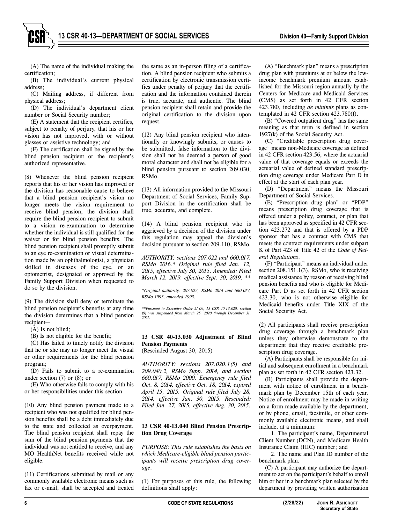

(A) The name of the individual making the certification;

(B) The individual's current physical address;

(C) Mailing address, if different from physical address;

(D) The individual's department client number or Social Security number;

(E) A statement that the recipient certifies, subject to penalty of perjury, that his or her vision has not improved, with or without glasses or assistive technology; and

(F) The certification shall be signed by the blind pension recipient or the recipient's authorized representative.

(8) Whenever the blind pension recipient reports that his or her vision has improved or the division has reasonable cause to believe that a blind pension recipient's vision no longer meets the vision requirement to receive blind pension, the division shall require the blind pension recipient to submit to a vision re-examination to determine whether the individual is still qualified for the waiver or for blind pension benefits. The blind pension recipient shall promptly submit to an eye re-examination or visual determination made by an ophthalmologist, a physician skilled in diseases of the eye, or an optometrist, designated or approved by the Family Support Division when requested to do so by the division.

(9) The division shall deny or terminate the blind pension recipient's benefits at any time the division determines that a blind pension recipient—

(A) Is not blind;

(B) Is not eligible for the benefit;

(C) Has failed to timely notify the division that he or she may no longer meet the visual or other requirements for the blind pension program;

(D) Fails to submit to a re-examination under section  $(7)$  or  $(8)$ ; or

(E) Who otherwise fails to comply with his or her responsibilities under this section.

(10) Any blind pension payment made to a recipient who was not qualified for blind pension benefits shall be a debt immediately due to the state and collected as overpayment. The blind pension recipient shall repay the sum of the blind pension payments that the individual was not entitled to receive, and any MO HealthNet benefits received while not eligible.

(11) Certifications submitted by mail or any commonly available electronic means such as fax or e-mail, shall be accepted and treated the same as an in-person filing of a certification. A blind pension recipient who submits a certification by electronic transmission certifies under penalty of perjury that the certification and the information contained therein is true, accurate, and authentic. The blind pension recipient shall retain and provide the original certification to the division upon request.

(12) Any blind pension recipient who intentionally or knowingly submits, or causes to be submitted, false information to the division shall not be deemed a person of good moral character and shall not be eligible for a blind pension pursuant to section 209.030, RSMo.

(13) All information provided to the Missouri Department of Social Services, Family Support Division in the certification shall be true, accurate, and complete.

(14) A blind pension recipient who is aggrieved by a decision of the division under this regulation may appeal the division's decision pursuant to section 209.110, RSMo*.*

*AUTHORITY: sections 207.022 and 660.017, RSMo 2016.\* Original rule filed Jan. 12, 2015, effective July 30, 2015. Amended: Filed March 12, 2019, effective Sept. 30, 2019. \*\** 

*\*Original authority: 207.022, RSMo 2014 and 660.017, RSMo 1993, amended 1995.*

*\*\*Pursuant to Executive Order 21-09, 13 CSR 40-13.020, section (9) was suspended from March 25, 2020 through December 31, 2021.* 

# **13 CSR 40-13.030 Adjustment of Blind Pension Payments**

(Rescinded August 30, 2015)

*AUTHORITY: sections 207.020.1(5) and 209.040.2, RSMo Supp. 2014, and section 660.017, RSMo 2000. Emergency rule filed Oct. 8, 2014, effective Oct. 18, 2014, expired April 15, 2015. Original rule filed July 28, 2014, effective Jan. 30, 2015. Rescinded: Filed Jan. 27, 2015, effective Aug. 30, 2015.* 

### **13 CSR 40-13.040 Blind Pension Prescription Drug Coverage**

*PURPOSE: This rule establishes the basis on which Medicare-eligible blind pension participants will receive prescription drug coverage*.

(1) For purposes of this rule, the following definitions shall apply:

(A) "Benchmark plan" means a prescription drug plan with premiums at or below the lowincome benchmark premium amount established for the Missouri region annually by the Centers for Medicare and Medicaid Services (CMS) as set forth in 42 CFR section 423.780, including *de minimis* plans as contemplated in 42 CFR section 423.780(f).

(B) "Covered outpatient drug" has the same meaning as that term is defined in section 1927(k) of the Social Security Act.

(C) "Creditable prescription drug coverage" means non-Medicare coverage as defined in 42 CFR section 423.56, where the actuarial value of that coverage equals or exceeds the actuarial value of defined standard prescription drug coverage under Medicare Part D in effect at the start of each plan year.

(D) "Department" means the Missouri Department of Social Services.

(E) "Prescription drug plan" or "PDP" means prescription drug coverage that is offered under a policy, contract, or plan that has been approved as specified in 42 CFR section 423.272 and that is offered by a PDP sponsor that has a contract with CMS that meets the contract requirements under subpart K of Part 423 of Title 42 of the *Code of Federal Regulations*.

(F) "Participant" means an individual under section 208.151.1(3), RSMo, who is receiving medical assistance by reason of receiving blind pension benefits and who is eligible for Medicare Part D as set forth in 42 CFR section 423.30, who is not otherwise eligible for Medicaid benefits under Title XIX of the Social Security Act.

(2) All participants shall receive prescription drug coverage through a benchmark plan unless they otherwise demonstrate to the department that they receive creditable prescription drug coverage.

(A) Participants shall be responsible for initial and subsequent enrollment in a benchmark plan as set forth in 42 CFR section 423.32.

(B) Participants shall provide the department with notice of enrollment in a benchmark plan by December 15th of each year. Notice of enrollment may be made in writing on a form made available by the department, or by phone, email, facsimile, or other commonly available electronic means, and shall include, at a minimum:

1. The participant's name, Departmental Client Number (DCN), and Medicare Health Insurance Claim (HIC) number; and

2. The name and Plan ID number of the benchmark plan.

(C) A participant may authorize the department to act on the participant's behalf to enroll him or her in a benchmark plan selected by the department by providing written authorization